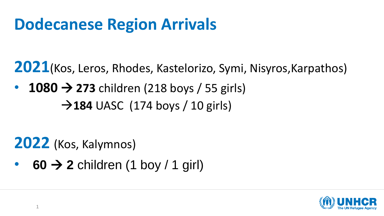# **Dodecanese Region Arrivals**

**2021**(Kos, Leros, Rhodes, Kastelorizo, Symi, Nisyros,Karpathos)

 $\cdot$  1080  $\rightarrow$  273 children (218 boys / 55 girls)  $\rightarrow$ **184** UASC (174 boys / 10 girls)

**2022** (Kos, Kalymnos)

• **60** → **2** children (1 boy / 1 girl)

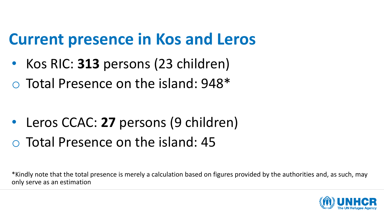## **Current presence in Kos and Leros**

- Kos RIC: **313** persons (23 children)
- o Total Presence on the island: 948\*

• Leros CCAC: 27 persons (9 children) o Total Presence on the island: 45

\*Kindly note that the total presence is merely a calculation based on figures provided by the authorities and, as such, may only serve as an estimation

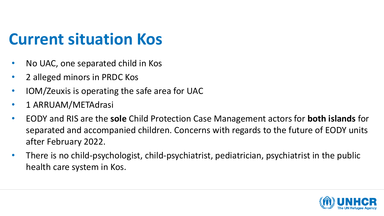# **Current situation Kos**

- No UAC, one separated child in Kos
- 2 alleged minors in PRDC Kos
- IOM/Zeuxis is operating the safe area for UAC
- 1 ARRUAM/METAdrasi
- EODY and RIS are the **sole** Child Protection Case Management actors for **both islands** for separated and accompanied children. Concerns with regards to the future of EODY units after February 2022.
- There is no child-psychologist, child-psychiatrist, pediatrician, psychiatrist in the public health care system in Kos.

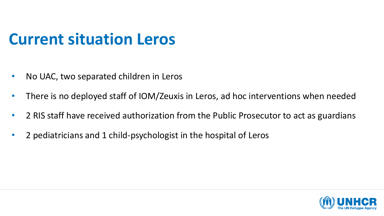## **Current situation Leros**

- No UAC, two separated children in Leros
- There is no deployed staff of IOM/Zeuxis in Leros, ad hoc interventions when needed
- 2 RIS staff have received authorization from the Public Prosecutor to act as guardians
- 2 pediatricians and 1 child-psychologist in the hospital of Leros

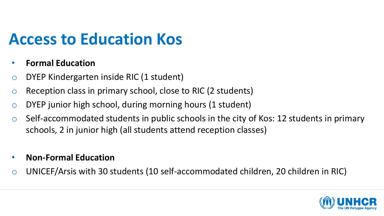# **Access to Education Kos**

#### • **Formal Education**

- o DYEP Kindergarten inside RIC (1 student)
- o Reception class in primary school, close to RIC (2 students)
- o DYEP junior high school, during morning hours (1 student)
- $\circ$  Self-accommodated students in public schools in the city of Kos: 12 students in primary schools, 2 in junior high (all students attend reception classes)
- **Non-Formal Education**
- o UNICEF/Arsis with 30 students (10 self-accommodated children, 20 children in RIC)